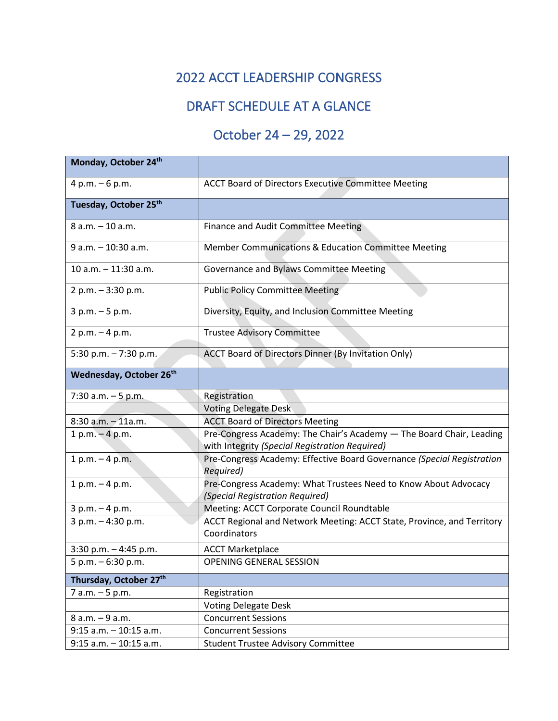## 2022 ACCT LEADERSHIP CONGRESS

## DRAFT SCHEDULE AT A GLANCE

## October 24 – 29, 2022

| Monday, October 24th                |                                                                                                                        |
|-------------------------------------|------------------------------------------------------------------------------------------------------------------------|
| $4 p.m. - 6 p.m.$                   | <b>ACCT Board of Directors Executive Committee Meeting</b>                                                             |
| Tuesday, October 25th               |                                                                                                                        |
| 8 a.m. - 10 a.m.                    | Finance and Audit Committee Meeting                                                                                    |
| 9 a.m. - 10:30 a.m.                 | Member Communications & Education Committee Meeting                                                                    |
| 10 a.m. - 11:30 a.m.                | Governance and Bylaws Committee Meeting                                                                                |
| 2 p.m. - 3:30 p.m.                  | <b>Public Policy Committee Meeting</b>                                                                                 |
| $3 p.m. - 5 p.m.$                   | Diversity, Equity, and Inclusion Committee Meeting                                                                     |
| $2 p.m. - 4 p.m.$                   | <b>Trustee Advisory Committee</b>                                                                                      |
| 5:30 p.m. $-7:30$ p.m.              | ACCT Board of Directors Dinner (By Invitation Only)                                                                    |
| Wednesday, October 26 <sup>th</sup> |                                                                                                                        |
| 7:30 a.m. - 5 p.m.                  | Registration                                                                                                           |
|                                     | <b>Voting Delegate Desk</b>                                                                                            |
| $8:30$ a.m. $-11$ a.m.              | <b>ACCT Board of Directors Meeting</b>                                                                                 |
| $1 p.m. - 4 p.m.$                   | Pre-Congress Academy: The Chair's Academy - The Board Chair, Leading<br>with Integrity (Special Registration Required) |
| $1 p.m. - 4 p.m.$                   | Pre-Congress Academy: Effective Board Governance (Special Registration<br>Required)                                    |
| $1 p.m. - 4 p.m.$                   | Pre-Congress Academy: What Trustees Need to Know About Advocacy<br>(Special Registration Required)                     |
| $3 p.m. - 4 p.m.$                   | Meeting: ACCT Corporate Council Roundtable                                                                             |
| 3 p.m. - 4:30 p.m.                  | ACCT Regional and Network Meeting: ACCT State, Province, and Territory<br>Coordinators                                 |
| 3:30 p.m. $-4:45$ p.m.              | <b>ACCT Marketplace</b>                                                                                                |
| $5 p.m. - 6:30 p.m.$                | OPENING GENERAL SESSION                                                                                                |
| Thursday, October 27th              |                                                                                                                        |
| 7 a.m. - 5 p.m.                     | Registration                                                                                                           |
|                                     | <b>Voting Delegate Desk</b>                                                                                            |
| 8 a.m. - 9 a.m.                     | <b>Concurrent Sessions</b>                                                                                             |
| $9:15$ a.m. $-10:15$ a.m.           | <b>Concurrent Sessions</b>                                                                                             |
| $9:15$ a.m. $-10:15$ a.m.           | <b>Student Trustee Advisory Committee</b>                                                                              |